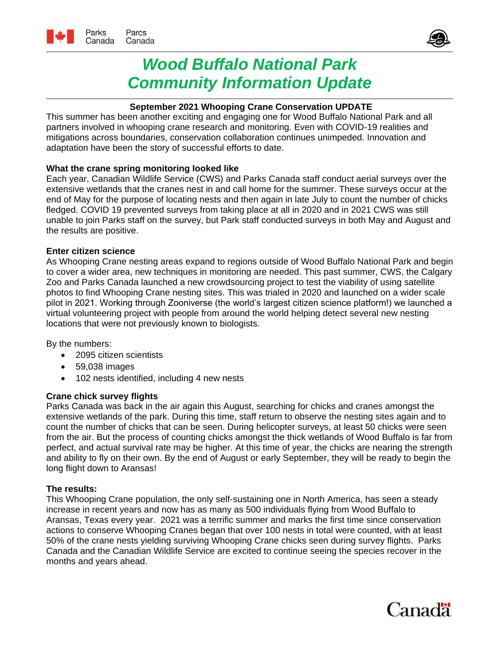

# *Wood Buffalo National Park Community Information Update*

## **September 2021 Whooping Crane Conservation UPDATE**

This summer has been another exciting and engaging one for Wood Buffalo National Park and all partners involved in whooping crane research and monitoring. Even with COVID-19 realities and mitigations across boundaries, conservation collaboration continues unimpeded. Innovation and adaptation have been the story of successful efforts to date.

## **What the crane spring monitoring looked like**

Each year, Canadian Wildlife Service (CWS) and Parks Canada staff conduct aerial surveys over the extensive wetlands that the cranes nest in and call home for the summer. These surveys occur at the end of May for the purpose of locating nests and then again in late July to count the number of chicks fledged. COVID 19 prevented surveys from taking place at all in 2020 and in 2021 CWS was still unable to join Parks staff on the survey, but Park staff conducted surveys in both May and August and the results are positive.

## **Enter citizen science**

As Whooping Crane nesting areas expand to regions outside of Wood Buffalo National Park and begin to cover a wider area, new techniques in monitoring are needed. This past summer, CWS, the Calgary Zoo and Parks Canada launched a new crowdsourcing project to test the viability of using satellite photos to find Whooping Crane nesting sites. This was trialed in 2020 and launched on a wider scale pilot in 2021. Working through Zooniverse (the world's largest citizen science platform!) we launched a virtual volunteering project with people from around the world helping detect several new nesting locations that were not previously known to biologists.

By the numbers:

- 2095 citizen scientists
- 59,038 images
- 102 nests identified, including 4 new nests

### **Crane chick survey flights**

Parks Canada was back in the air again this August, searching for chicks and cranes amongst the extensive wetlands of the park. During this time, staff return to observe the nesting sites again and to count the number of chicks that can be seen. During helicopter surveys, at least 50 chicks were seen from the air. But the process of counting chicks amongst the thick wetlands of Wood Buffalo is far from perfect, and actual survival rate may be higher. At this time of year, the chicks are nearing the strength and ability to fly on their own. By the end of August or early September, they will be ready to begin the long flight down to Aransas!

### **The results:**

This Whooping Crane population, the only self-sustaining one in North America, has seen a steady increase in recent years and now has as many as 500 individuals flying from Wood Buffalo to Aransas, Texas every year. 2021 was a terrific summer and marks the first time since conservation actions to conserve Whooping Cranes began that over 100 nests in total were counted, with at least 50% of the crane nests yielding surviving Whooping Crane chicks seen during survey flights. Parks Canada and the Canadian Wildlife Service are excited to continue seeing the species recover in the months and years ahead.